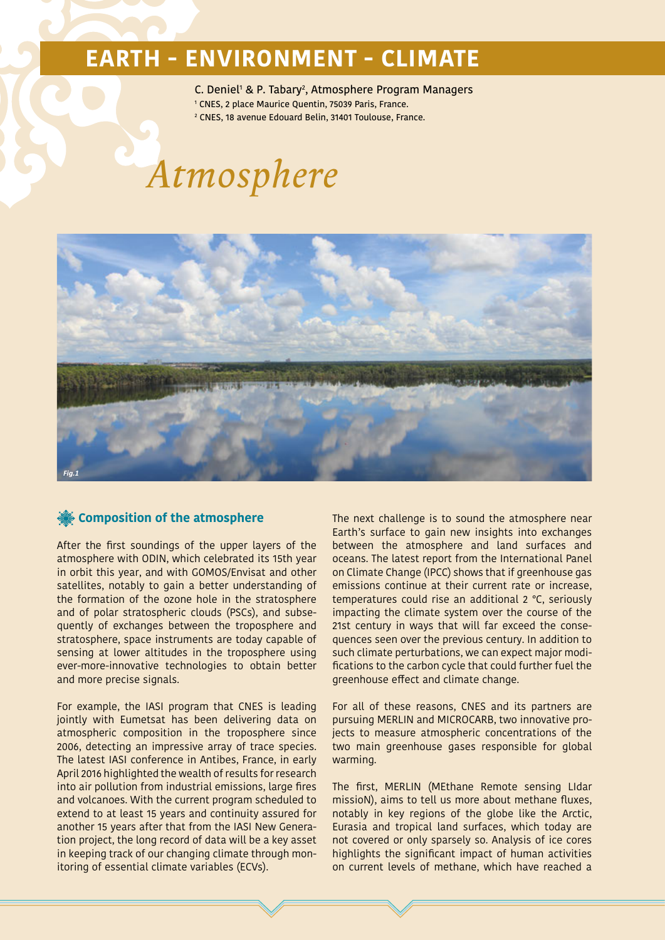## **EARTH - ENVIRONMENT - CLIMATE**

C. Deniel<sup>1</sup> & P. Tabary<sup>2</sup>, Atmosphere Program Managers<br>1 CNES 2 place Maurice Quentin 75039 Paris, France

- <sup>1</sup> CNES, 2 place Maurice Quentin, 75039 Paris, France.
- 2 CNES, 18 avenue Edouard Belin, 31401 Toulouse, France.

# *Atmosphere*



### **Composition of the atmosphere**

After the first soundings of the upper layers of the atmosphere with ODIN, which celebrated its 15th year in orbit this year, and with GOMOS/Envisat and other satellites, notably to gain a better understanding of the formation of the ozone hole in the stratosphere and of polar stratospheric clouds (PSCs), and subsequently of exchanges between the troposphere and stratosphere, space instruments are today capable of sensing at lower altitudes in the troposphere using ever-more-innovative technologies to obtain better and more precise signals.

For example, the IASI program that CNES is leading jointly with Eumetsat has been delivering data on atmospheric composition in the troposphere since 2006, detecting an impressive array of trace species. The latest IASI conference in Antibes, France, in early April 2016 highlighted the wealth of results for research into air pollution from industrial emissions, large fires and volcanoes. With the current program scheduled to extend to at least 15 years and continuity assured for another 15 years after that from the IASI New Generation project, the long record of data will be a key asset in keeping track of our changing climate through monitoring of essential climate variables (ECVs).

The next challenge is to sound the atmosphere near Earth's surface to gain new insights into exchanges between the atmosphere and land surfaces and oceans. The latest report from the International Panel on Climate Change (IPCC) shows that if greenhouse gas emissions continue at their current rate or increase, temperatures could rise an additional 2 °C, seriously impacting the climate system over the course of the 21st century in ways that will far exceed the consequences seen over the previous century. In addition to such climate perturbations, we can expect major modifications to the carbon cycle that could further fuel the greenhouse effect and climate change.

For all of these reasons, CNES and its partners are pursuing MERLIN and MICROCARB, two innovative projects to measure atmospheric concentrations of the two main greenhouse gases responsible for global warming.

The first, MERLIN (MEthane Remote sensing LIdar missioN), aims to tell us more about methane fluxes, notably in key regions of the globe like the Arctic, Eurasia and tropical land surfaces, which today are not covered or only sparsely so. Analysis of ice cores highlights the significant impact of human activities on current levels of methane, which have reached a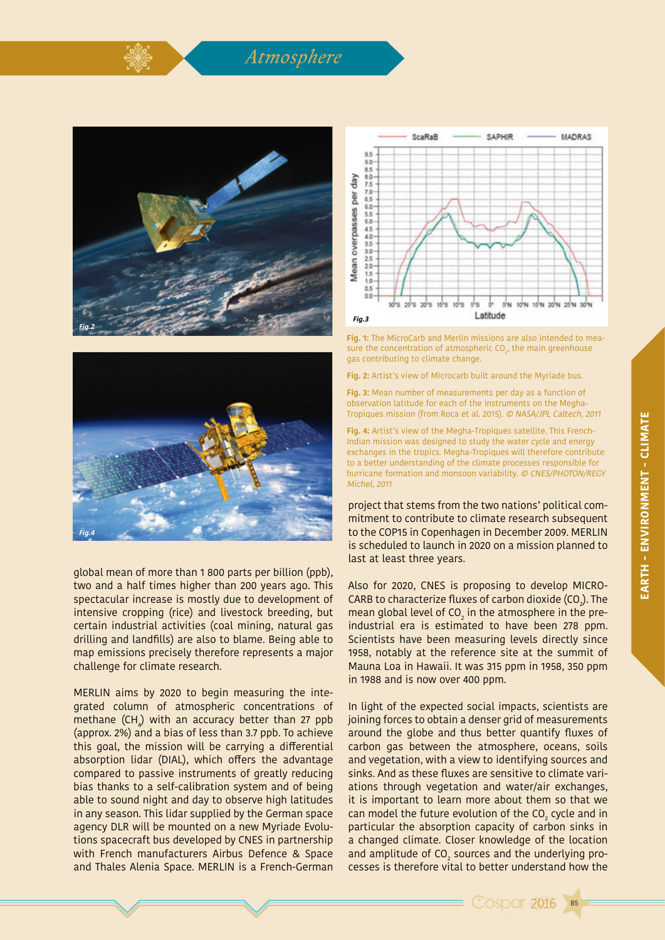





global mean of more than 1 800 parts per billion (ppb), two and a half times higher than 200 years ago. This spectacular increase is mostly due to development of intensive cropping (rice) and livestock breeding, but certain industrial activities (coal mining, natural gas drilling and landfills) are also to blame. Being able to map emissions precisely therefore represents a major challenge for climate research.

MERLIN aims by 2020 to begin measuring the integrated column of atmospheric concentrations of methane (CH $_{\rm \downarrow}$ ) with an accuracy better than 27 ppb (approx. 2%) and a bias of less than 3.7 ppb. To achieve this goal, the mission will be carrying a differential absorption lidar (DIAL), which offers the advantage compared to passive instruments of greatly reducing bias thanks to a self-calibration system and of being able to sound night and day to observe high latitudes in any season. This lidar supplied by the German space agency DLR will be mounted on a new Myriade Evolutions spacecraft bus developed by CNES in partnership with French manufacturers Airbus Defence & Space and Thales Alenia Space. MERLIN is a French-German



**Fig. 1:** The MicroCarb and Merlin missions are also intended to measure the concentration of atmospheric CO $_2$ , the main greenhouse gas contributing to climate change.

**Fig. 2:** Artist's view of Microcarb built around the Myriade bus.

**Fig. 3:** Mean number of measurements per day as a function of observation latitude for each of the instruments on the Megha-Tropiques mission (from Roca et al. 2015). © NASA/JPL Caltech, 2011

**Fig. 4:** Artist's view of the Megha-Tropiques satellite. This French-Indian mission was designed to study the water cycle and energy exchanges in the tropics. Megha-Tropiques will therefore contribute to a better understanding of the climate processes responsible for hurricane formation and monsoon variability. © CNES/PHOTON/REGY Michel, 2011

project that stems from the two nations' political commitment to contribute to climate research subsequent to the COP15 in Copenhagen in December 2009. MERLIN is scheduled to launch in 2020 on a mission planned to last at least three years.

Also for 2020, CNES is proposing to develop MICRO-CARB to characterize fluxes of carbon dioxide (CO<sub>2</sub>). The mean global level of CO $_2$  in the atmosphere in the preindustrial era is estimated to have been 278 ppm. Scientists have been measuring levels directly since 1958, notably at the reference site at the summit of Mauna Loa in Hawaii. It was 315 ppm in 1958, 350 ppm in 1988 and is now over 400 ppm.

In light of the expected social impacts, scientists are joining forces to obtain a denser grid of measurements around the globe and thus better quantify fluxes of carbon gas between the atmosphere, oceans, soils and vegetation, with a view to identifying sources and sinks. And as these fluxes are sensitive to climate variations through vegetation and water/air exchanges, it is important to learn more about them so that we can model the future evolution of the CO<sub>2</sub> cycle and in particular the absorption capacity of carbon sinks in a changed climate. Closer knowledge of the location and amplitude of CO<sub>2</sub> sources and the underlying processes is therefore vital to better understand how the

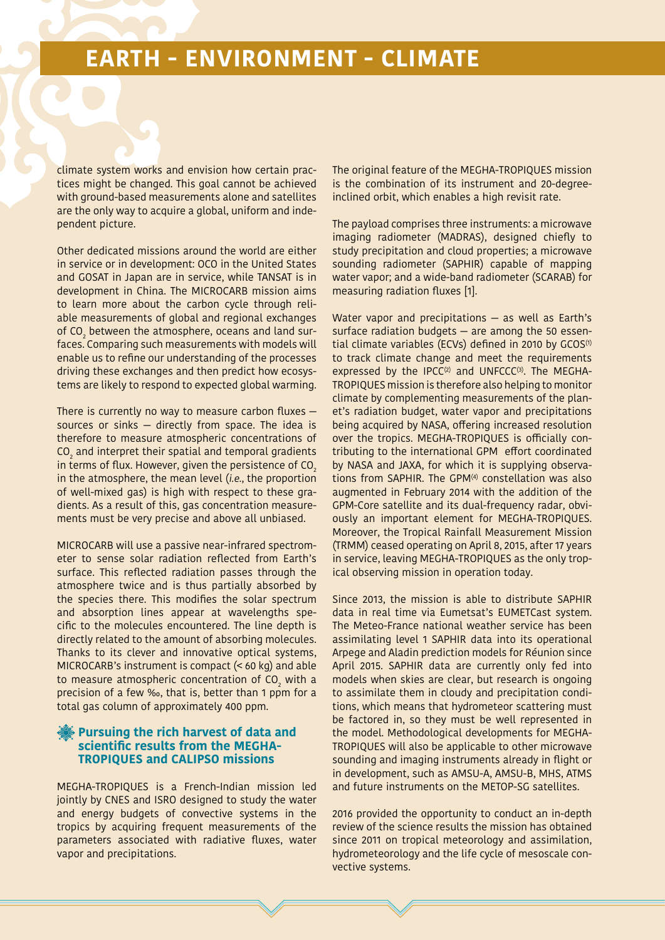## **EARTH - ENVIRONMENT - CLIMATE**

climate system works and envision how certain practices might be changed. This goal cannot be achieved with ground-based measurements alone and satellites are the only way to acquire a global, uniform and independent picture.

Other dedicated missions around the world are either in service or in development: OCO in the United States and GOSAT in Japan are in service, while TANSAT is in development in China. The MICROCARB mission aims to learn more about the carbon cycle through reliable measurements of global and regional exchanges of CO $_{\tiny 2}$  between the atmosphere, oceans and land surfaces. Comparing such measurements with models will enable us to refine our understanding of the processes driving these exchanges and then predict how ecosystems are likely to respond to expected global warming.

There is currently no way to measure carbon fluxes sources or sinks — directly from space. The idea is therefore to measure atmospheric concentrations of  $\mathrm{CO}_2$  and interpret their spatial and temporal gradients in terms of flux. However, given the persistence of  $CO<sub>2</sub>$ in the atmosphere, the mean level (i.e., the proportion of well-mixed gas) is high with respect to these gradients. As a result of this, gas concentration measurements must be very precise and above all unbiased.

MICROCARB will use a passive near-infrared spectrometer to sense solar radiation reflected from Earth's surface. This reflected radiation passes through the atmosphere twice and is thus partially absorbed by the species there. This modifies the solar spectrum and absorption lines appear at wavelengths specific to the molecules encountered. The line depth is directly related to the amount of absorbing molecules. Thanks to its clever and innovative optical systems, MICROCARB's instrument is compact (< 60 kg) and able to measure atmospheric concentration of CO $_{_2}$  with a precision of a few ‰, that is, better than 1 ppm for a total gas column of approximately 400 ppm.

#### **Pursuing the rich harvest of data and scientific results from the MEGHA-TROPIQUES and CALIPSO missions**

MEGHA-TROPIQUES is a French-Indian mission led jointly by CNES and ISRO designed to study the water and energy budgets of convective systems in the tropics by acquiring frequent measurements of the parameters associated with radiative fluxes, water vapor and precipitations.

The original feature of the MEGHA-TROPIQUES mission is the combination of its instrument and 20-degreeinclined orbit, which enables a high revisit rate.

The payload comprises three instruments: a microwave imaging radiometer (MADRAS), designed chiefly to study precipitation and cloud properties; a microwave sounding radiometer (SAPHIR) capable of mapping water vapor; and a wide-band radiometer (SCARAB) for measuring radiation fluxes [1].

Water vapor and precipitations — as well as Earth's surface radiation budgets — are among the 50 essential climate variables (ECVs) defined in 2010 by GCOS<sup>(1)</sup> to track climate change and meet the requirements expressed by the IPCC $(2)$  and UNFCCC $(3)$ . The MEGHA-TROPIQUES mission is therefore also helping to monitor climate by complementing measurements of the planet's radiation budget, water vapor and precipitations being acquired by NASA, offering increased resolution over the tropics. MEGHA-TROPIQUES is officially contributing to the international GPM effort coordinated by NASA and JAXA, for which it is supplying observations from SAPHIR. The GPM<sup>(4)</sup> constellation was also augmented in February 2014 with the addition of the GPM-Core satellite and its dual-frequency radar, obviously an important element for MEGHA-TROPIQUES. Moreover, the Tropical Rainfall Measurement Mission (TRMM) ceased operating on April 8, 2015, after 17 years in service, leaving MEGHA-TROPIQUES as the only tropical observing mission in operation today.

Since 2013, the mission is able to distribute SAPHIR data in real time via Eumetsat's EUMETCast system. The Meteo-France national weather service has been assimilating level 1 SAPHIR data into its operational Arpege and Aladin prediction models for Réunion since April 2015. SAPHIR data are currently only fed into models when skies are clear, but research is ongoing to assimilate them in cloudy and precipitation conditions, which means that hydrometeor scattering must be factored in, so they must be well represented in the model. Methodological developments for MEGHA-TROPIQUES will also be applicable to other microwave sounding and imaging instruments already in flight or in development, such as AMSU-A, AMSU-B, MHS, ATMS and future instruments on the METOP-SG satellites.

2016 provided the opportunity to conduct an in-depth review of the science results the mission has obtained since 2011 on tropical meteorology and assimilation, hydrometeorology and the life cycle of mesoscale convective systems.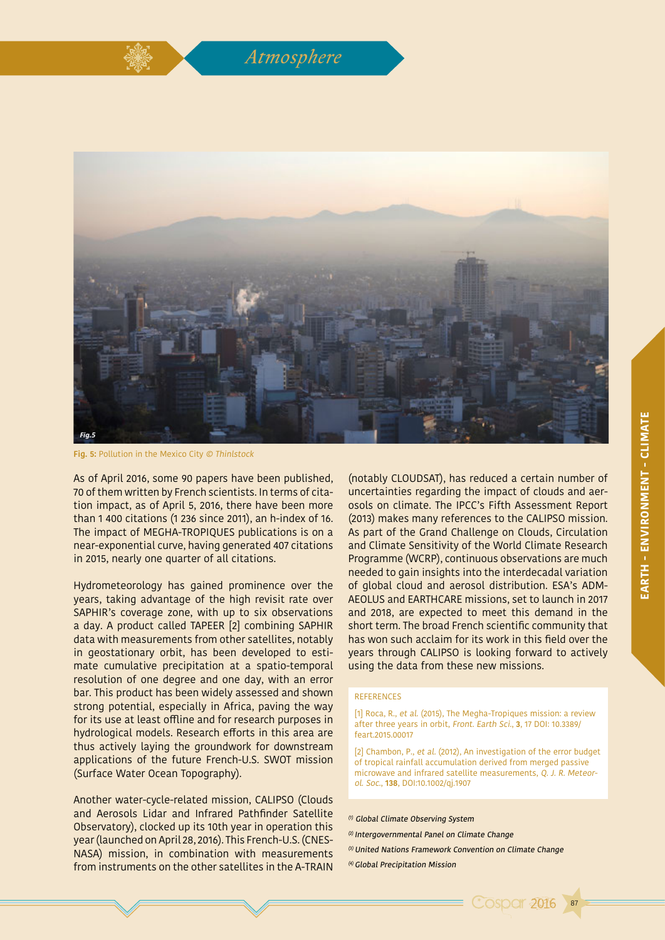



**Fig. 5:** Pollution in the Mexico City © Thinlstock

As of April 2016, some 90 papers have been published, 70 of them written by French scientists. In terms of citation impact, as of April 5, 2016, there have been more than 1 400 citations (1 236 since 2011), an h-index of 16. The impact of MEGHA-TROPIQUES publications is on a near-exponential curve, having generated 407 citations in 2015, nearly one quarter of all citations.

Hydrometeorology has gained prominence over the years, taking advantage of the high revisit rate over SAPHIR's coverage zone, with up to six observations a day. A product called TAPEER [2] combining SAPHIR data with measurements from other satellites, notably in geostationary orbit, has been developed to estimate cumulative precipitation at a spatio-temporal resolution of one degree and one day, with an error bar. This product has been widely assessed and shown strong potential, especially in Africa, paving the way for its use at least offline and for research purposes in hydrological models. Research efforts in this area are thus actively laying the groundwork for downstream applications of the future French-U.S. SWOT mission (Surface Water Ocean Topography).

Another water-cycle-related mission, CALIPSO (Clouds and Aerosols Lidar and Infrared Pathfinder Satellite Observatory), clocked up its 10th year in operation this year (launched on April 28, 2016). This French-U.S. (CNES-NASA) mission, in combination with measurements from instruments on the other satellites in the A-TRAIN

(notably CLOUDSAT), has reduced a certain number of uncertainties regarding the impact of clouds and aerosols on climate. The IPCC's Fifth Assessment Report (2013) makes many references to the CALIPSO mission. As part of the Grand Challenge on Clouds, Circulation and Climate Sensitivity of the World Climate Research Programme (WCRP), continuous observations are much needed to gain insights into the interdecadal variation of global cloud and aerosol distribution. ESA's ADM-AEOLUS and EARTHCARE missions, set to launch in 2017 and 2018, are expected to meet this demand in the short term. The broad French scientific community that has won such acclaim for its work in this field over the years through CALIPSO is looking forward to actively using the data from these new missions.

#### REFERENCES

[1] Roca, R., et al. (2015), The Megha-Tropiques mission: a review after three years in orbit, Front. Earth Sci., **3**, 17 DOI: 10.3389/ feart.2015.00017

[2] Chambon, P., et al. (2012), An investigation of the error budget of tropical rainfall accumulation derived from merged passive microwave and infrared satellite measurements, Q. J. R. Meteorol. Soc., **138**, DOI:10.1002/qj.1907

87

**Cosper 2016** 

(1) Global Climate Observing System

- (2) Intergovernmental Panel on Climate Change
- (3) United Nations Framework Convention on Climate Change
- (4) Global Precipitation Mission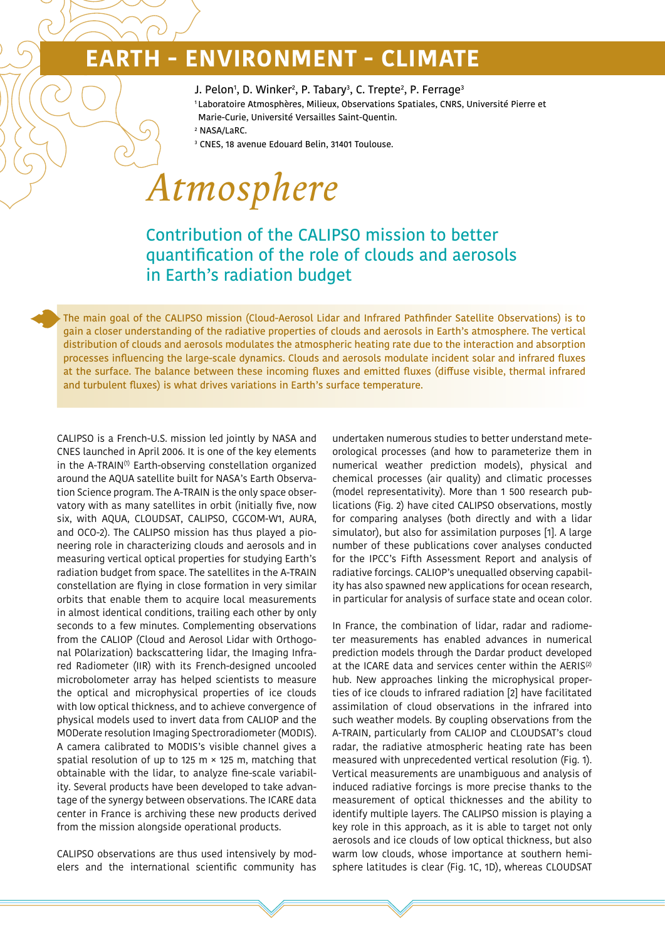# **EARTH - ENVIRONMENT - CLIMATE**

- J. Pelon<sup>1</sup>, D. Winker<sup>2</sup>, P. Tabary<sup>3</sup>, C. Trepte<sup>2</sup>, P. Ferrage<sup>3</sup>
- 1 Laboratoire Atmosphères, Milieux, Observations Spatiales, CNRS, Université Pierre et
- Marie-Curie, Université Versailles Saint-Quentin.
- 2 NASA/LaRC.
- 3 CNES, 18 avenue Edouard Belin, 31401 Toulouse.

# *Atmosphere*

### Contribution of the CALIPSO mission to better quantification of the role of clouds and aerosols in Earth's radiation budget

The main goal of the CALIPSO mission (Cloud-Aerosol Lidar and Infrared Pathfinder Satellite Observations) is to gain a closer understanding of the radiative properties of clouds and aerosols in Earth's atmosphere. The vertical distribution of clouds and aerosols modulates the atmospheric heating rate due to the interaction and absorption processes influencing the large-scale dynamics. Clouds and aerosols modulate incident solar and infrared fluxes at the surface. The balance between these incoming fluxes and emitted fluxes (diffuse visible, thermal infrared and turbulent fluxes) is what drives variations in Earth's surface temperature.

CALIPSO is a French-U.S. mission led jointly by NASA and CNES launched in April 2006. It is one of the key elements in the A-TRAIN<sup>(1)</sup> Earth-observing constellation organized around the AQUA satellite built for NASA's Earth Observation Science program. The A-TRAIN is the only space observatory with as many satellites in orbit (initially five, now six, with AQUA, CLOUDSAT, CALIPSO, CGCOM-W1, AURA, and OCO-2). The CALIPSO mission has thus played a pioneering role in characterizing clouds and aerosols and in measuring vertical optical properties for studying Earth's radiation budget from space. The satellites in the A-TRAIN constellation are flying in close formation in very similar orbits that enable them to acquire local measurements in almost identical conditions, trailing each other by only seconds to a few minutes. Complementing observations from the CALIOP (Cloud and Aerosol Lidar with Orthogonal POlarization) backscattering lidar, the Imaging Infrared Radiometer (IIR) with its French-designed uncooled microbolometer array has helped scientists to measure the optical and microphysical properties of ice clouds with low optical thickness, and to achieve convergence of physical models used to invert data from CALIOP and the MODerate resolution Imaging Spectroradiometer (MODIS). A camera calibrated to MODIS's visible channel gives a spatial resolution of up to 125 m  $\times$  125 m, matching that obtainable with the lidar, to analyze fine-scale variability. Several products have been developed to take advantage of the synergy between observations. The ICARE data center in France is archiving these new products derived from the mission alongside operational products.

CALIPSO observations are thus used intensively by modelers and the international scientific community has undertaken numerous studies to better understand meteorological processes (and how to parameterize them in numerical weather prediction models), physical and chemical processes (air quality) and climatic processes (model representativity). More than 1 500 research publications (Fig. 2) have cited CALIPSO observations, mostly for comparing analyses (both directly and with a lidar simulator), but also for assimilation purposes [1]. A large number of these publications cover analyses conducted for the IPCC's Fifth Assessment Report and analysis of radiative forcings. CALIOP's unequalled observing capability has also spawned new applications for ocean research, in particular for analysis of surface state and ocean color.

In France, the combination of lidar, radar and radiometer measurements has enabled advances in numerical prediction models through the Dardar product developed at the ICARE data and services center within the AERIS<sup>(2)</sup> hub. New approaches linking the microphysical properties of ice clouds to infrared radiation [2] have facilitated assimilation of cloud observations in the infrared into such weather models. By coupling observations from the A-TRAIN, particularly from CALIOP and CLOUDSAT's cloud radar, the radiative atmospheric heating rate has been measured with unprecedented vertical resolution (Fig. 1). Vertical measurements are unambiguous and analysis of induced radiative forcings is more precise thanks to the measurement of optical thicknesses and the ability to identify multiple layers. The CALIPSO mission is playing a key role in this approach, as it is able to target not only aerosols and ice clouds of low optical thickness, but also warm low clouds, whose importance at southern hemisphere latitudes is clear (Fig. 1C, 1D), whereas CLOUDSAT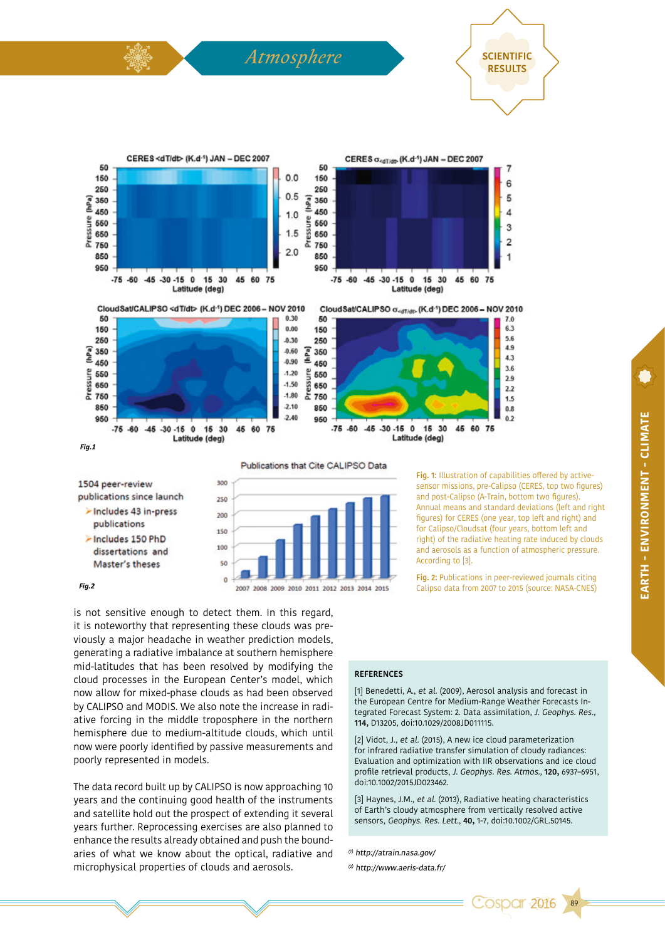

>Includes 150 PhD dissertations and Master's theses

150 100  $\overline{c}$ 

**Fig. 1:** Illustration of capabilities offered by activesensor missions, pre-Calipso (CERES, top two figures) and post-Calipso (A-Train, bottom two figures). Annual means and standard deviations (left and right figures) for CERES (one year, top left and right) and for Calipso/Cloudsat (four years, bottom left and right) of the radiative heating rate induced by clouds and aerosols as a function of atmospheric pressure. According to [3].

**Fig. 2:** Publications in peer-reviewed journals citing Calipso data from 2007 to 2015 (source: NASA-CNES) *Fig.2*

is not sensitive enough to detect them. In this regard, it is noteworthy that representing these clouds was previously a major headache in weather prediction models, generating a radiative imbalance at southern hemisphere mid-latitudes that has been resolved by modifying the cloud processes in the European Center's model, which now allow for mixed-phase clouds as had been observed by CALIPSO and MODIS. We also note the increase in radiative forcing in the middle troposphere in the northern hemisphere due to medium-altitude clouds, which until now were poorly identified by passive measurements and poorly represented in models.

The data record built up by CALIPSO is now approaching 10 years and the continuing good health of the instruments and satellite hold out the prospect of extending it several years further. Reprocessing exercises are also planned to enhance the results already obtained and push the boundaries of what we know about the optical, radiative and microphysical properties of clouds and aerosols.

#### **REFERENCES**

[1] Benedetti, A., et al. (2009), Aerosol analysis and forecast in the European Centre for Medium-Range Weather Forecasts Integrated Forecast System: 2. Data assimilation, J. Geophys. Res., **114,** D13205, doi:10.1029/2008JD011115.

[2] Vidot, J., et al. (2015), A new ice cloud parameterization for infrared radiative transfer simulation of cloudy radiances: Evaluation and optimization with IIR observations and ice cloud profile retrieval products, J. Geophys. Res. Atmos., **120,** 6937–6951, doi:10.1002/2015JD023462.

[3] Haynes, J.M., et al. (2013), Radiative heating characteristics of Earth's cloudy atmosphere from vertically resolved active sensors, Geophys. Res. Lett., **40,** 1-7, doi:10.1002/GRL.50145.

89

**Cospar 2016** 

(1) http://atrain.nasa.gov/

(2) http://www.aeris-data.fr/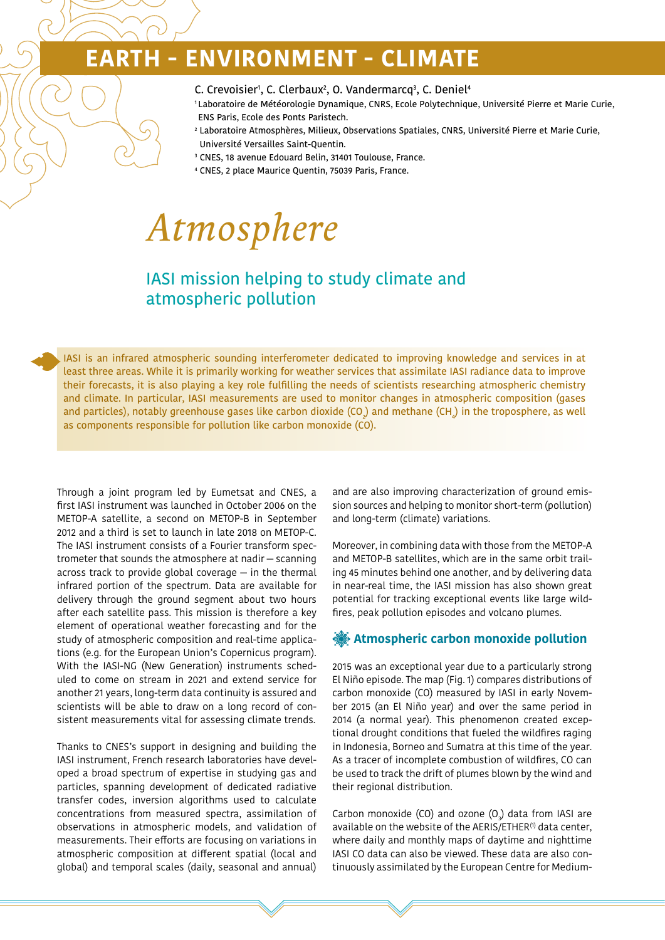# **- ENVIRONMENT - CLIMATE**

- C. Crevoisier<sup>1</sup>, C. Clerbaux<sup>2</sup>, O. Vandermarcq<sup>3</sup>, C. Deniel<sup>4</sup>
- 1 Laboratoire de Météorologie Dynamique, CNRS, Ecole Polytechnique, Université Pierre et Marie Curie, ENS Paris, Ecole des Ponts Paristech.
- <sup>2</sup> Laboratoire Atmosphères, Milieux, Observations Spatiales, CNRS, Université Pierre et Marie Curie, Université Versailles Saint-Quentin.
- 3 CNES, 18 avenue Edouard Belin, 31401 Toulouse, France.
- 4 CNES, 2 place Maurice Quentin, 75039 Paris, France.

# *Atmosphere*

### IASI mission helping to study climate and atmospheric pollution

IASI is an infrared atmospheric sounding interferometer dedicated to improving knowledge and services in at least three areas. While it is primarily working for weather services that assimilate IASI radiance data to improve their forecasts, it is also playing a key role fulfilling the needs of scientists researching atmospheric chemistry and climate. In particular, IASI measurements are used to monitor changes in atmospheric composition (gases and particles), notably greenhouse gases like carbon dioxide (CO<sub>2</sub>) and methane (CH<sub>4</sub>) in the troposphere, as well as components responsible for pollution like carbon monoxide (CO).

Through a joint program led by Eumetsat and CNES, a first IASI instrument was launched in October 2006 on the METOP-A satellite, a second on METOP-B in September 2012 and a third is set to launch in late 2018 on METOP-C. The IASI instrument consists of a Fourier transform spectrometer that sounds the atmosphere at nadir — scanning across track to provide global coverage — in the thermal infrared portion of the spectrum. Data are available for delivery through the ground segment about two hours after each satellite pass. This mission is therefore a key element of operational weather forecasting and for the study of atmospheric composition and real-time applications (e.g. for the European Union's Copernicus program). With the IASI-NG (New Generation) instruments scheduled to come on stream in 2021 and extend service for another 21 years, long-term data continuity is assured and scientists will be able to draw on a long record of consistent measurements vital for assessing climate trends.

Thanks to CNES's support in designing and building the IASI instrument, French research laboratories have developed a broad spectrum of expertise in studying gas and particles, spanning development of dedicated radiative transfer codes, inversion algorithms used to calculate concentrations from measured spectra, assimilation of observations in atmospheric models, and validation of measurements. Their efforts are focusing on variations in atmospheric composition at different spatial (local and global) and temporal scales (daily, seasonal and annual)

and are also improving characterization of ground emission sources and helping to monitor short-term (pollution) and long-term (climate) variations.

Moreover, in combining data with those from the METOP-A and METOP-B satellites, which are in the same orbit trailing 45 minutes behind one another, and by delivering data in near-real time, the IASI mission has also shown great potential for tracking exceptional events like large wildfires, peak pollution episodes and volcano plumes.

#### **Atmospheric carbon monoxide pollution**

2015 was an exceptional year due to a particularly strong El Niño episode. The map (Fig. 1) compares distributions of carbon monoxide (CO) measured by IASI in early November 2015 (an El Niño year) and over the same period in 2014 (a normal year). This phenomenon created exceptional drought conditions that fueled the wildfires raging in Indonesia, Borneo and Sumatra at this time of the year. As a tracer of incomplete combustion of wildfires, CO can be used to track the drift of plumes blown by the wind and their regional distribution.

Carbon monoxide (CO) and ozone (O $_{3}$ ) data from IASI are available on the website of the AERIS/ETHER<sup>(1)</sup> data center, where daily and monthly maps of daytime and nighttime IASI CO data can also be viewed. These data are also continuously assimilated by the European Centre for Medium-